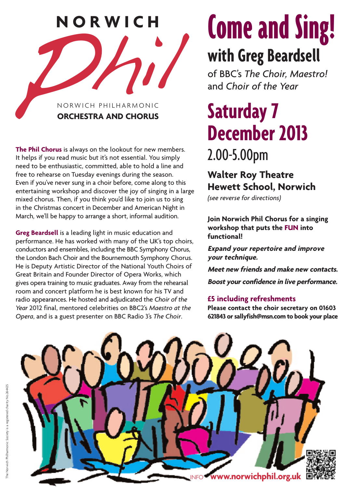

**The Phil Chorus** is always on the lookout for new members. It helps if you read music but it's not essential. You simply need to be enthusiastic, committed, able to hold a line and free to rehearse on Tuesday evenings during the season. Even if you've never sung in a choir before, come along to this entertaining workshop and discover the joy of singing in a large mixed chorus. Then, if you think you'd like to join us to sing in the Christmas concert in December and American Night in March, we'll be happy to arrange a short, informal audition.

**Greg Beardsell** is a leading light in music education and performance. He has worked with many of the UK's top choirs, conductors and ensembles, including the BBC Symphony Chorus, the London Bach Choir and the Bournemouth Symphony Chorus. He is Deputy Artistic Director of the National Youth Choirs of Great Britain and Founder Director of Opera Works, which gives opera training to music graduates. Away from the rehearsal room and concert platform he is best known for his TV and radio appearances. He hosted and adjudicated the *Choir of the Year* 2012 final, mentored celebrities on BBC2's *Maestro at the Opera*, and is a guest presenter on BBC Radio 3's *The Choir*.

# **Come and Sing! with Greg Beardsell**

of BBC's *The Choir, Maestro!*  and *Choir of the Year*

# **Saturday 7 December 2013** 2.00-5.00pm

## **Walter Roy Theatre Hewett School, Norwich**

*(see reverse for directions)*

**Join Norwich Phil Chorus for a singing workshop that puts the FUN into functional!** 

**Expand your repertoire and improve your technique.** 

**Meet new friends and make new contacts.**

**Boost your confidence in live performance.**

### **£5 including refreshments**

**Please contact the choir secretary on 01603 621843 or sallyfish@msn.com to book your place**